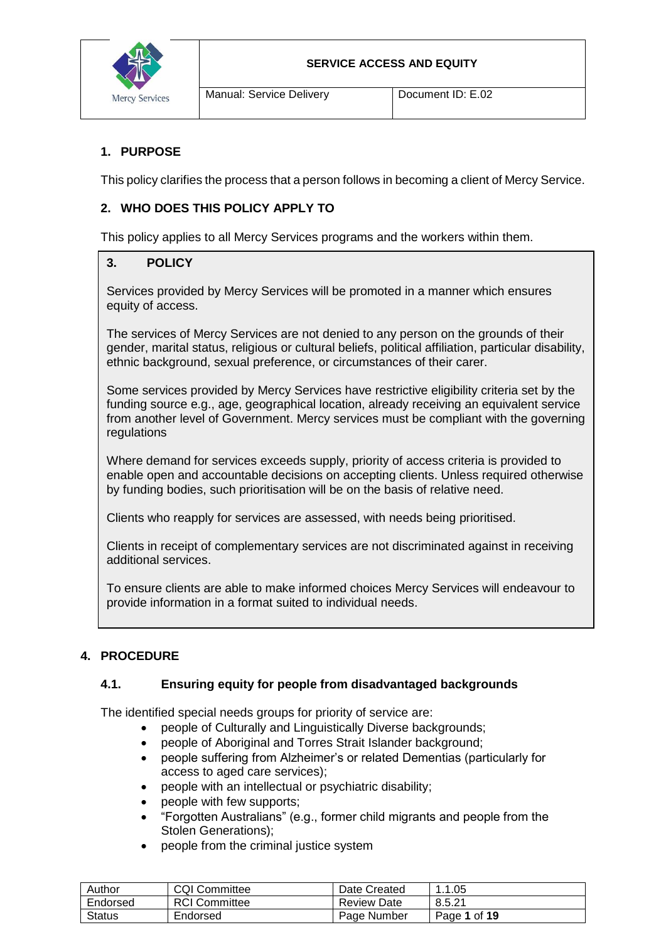

# **1. PURPOSE**

This policy clarifies the process that a person follows in becoming a client of Mercy Service.

# **2. WHO DOES THIS POLICY APPLY TO**

This policy applies to all Mercy Services programs and the workers within them.

## **3. POLICY**

Services provided by Mercy Services will be promoted in a manner which ensures equity of access.

The services of Mercy Services are not denied to any person on the grounds of their gender, marital status, religious or cultural beliefs, political affiliation, particular disability, ethnic background, sexual preference, or circumstances of their carer.

Some services provided by Mercy Services have restrictive eligibility criteria set by the funding source e.g., age, geographical location, already receiving an equivalent service from another level of Government. Mercy services must be compliant with the governing regulations

Where demand for services exceeds supply, priority of access criteria is provided to enable open and accountable decisions on accepting clients. Unless required otherwise by funding bodies, such prioritisation will be on the basis of relative need.

Clients who reapply for services are assessed, with needs being prioritised.

Clients in receipt of complementary services are not discriminated against in receiving additional services.

To ensure clients are able to make informed choices Mercy Services will endeavour to provide information in a format suited to individual needs.

# **4. PROCEDURE**

# **4.1. Ensuring equity for people from disadvantaged backgrounds**

The identified special needs groups for priority of service are:

- people of Culturally and Linguistically Diverse backgrounds;
- people of Aboriginal and Torres Strait Islander background:
- people suffering from Alzheimer's or related Dementias (particularly for access to aged care services);
- people with an intellectual or psychiatric disability;
- people with few supports;
- "Forgotten Australians" (e.g., former child migrants and people from the Stolen Generations);
- people from the criminal justice system

| Author        | <b>CQI Committee</b> | Date Created       | . 1.05<br>$\overline{\phantom{a}}$ |
|---------------|----------------------|--------------------|------------------------------------|
| Endorsed      | <b>RCI</b> Committee | <b>Review Date</b> | 8.5.21                             |
| <b>Status</b> | Endorsed             | Page Number        | Page 1 of 19                       |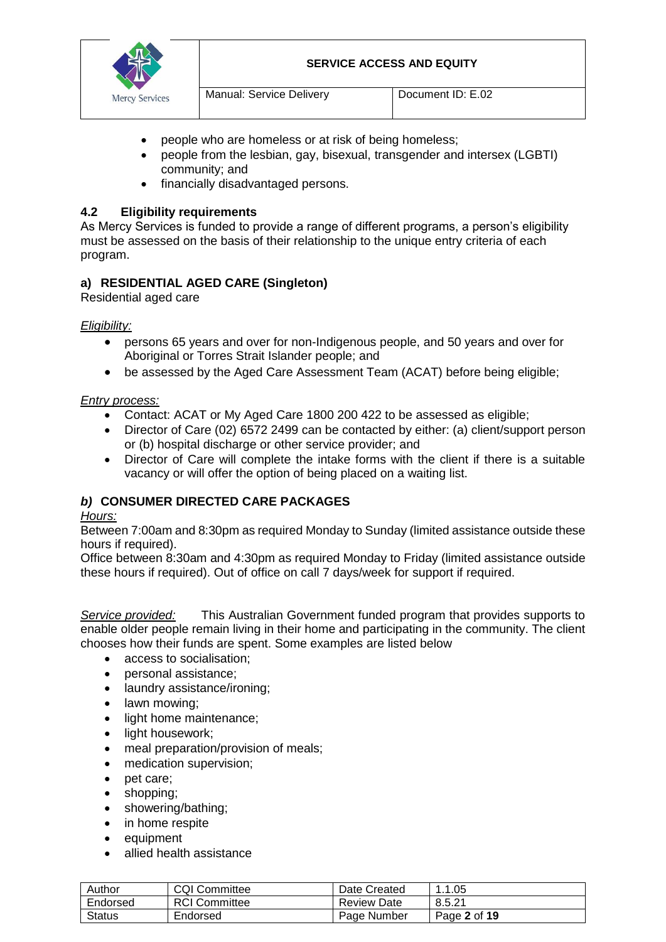



- people who are homeless or at risk of being homeless;
- people from the lesbian, gay, bisexual, transgender and intersex (LGBTI) community; and
- financially disadvantaged persons.

## **4.2 Eligibility requirements**

As Mercy Services is funded to provide a range of different programs, a person's eligibility must be assessed on the basis of their relationship to the unique entry criteria of each program.

# **a) RESIDENTIAL AGED CARE (Singleton)**

Residential aged care

## *Eligibility:*

- persons 65 years and over for non-Indigenous people, and 50 years and over for Aboriginal or Torres Strait Islander people; and
- be assessed by the Aged Care Assessment Team (ACAT) before being eligible;

## *Entry process:*

- Contact: ACAT or My Aged Care 1800 200 422 to be assessed as eligible;
- Director of Care (02) 6572 2499 can be contacted by either: (a) client/support person or (b) hospital discharge or other service provider; and
- Director of Care will complete the intake forms with the client if there is a suitable vacancy or will offer the option of being placed on a waiting list.

# *b)* **CONSUMER DIRECTED CARE PACKAGES**

## *Hours:*

Between 7:00am and 8:30pm as required Monday to Sunday (limited assistance outside these hours if required).

Office between 8:30am and 4:30pm as required Monday to Friday (limited assistance outside these hours if required). Out of office on call 7 days/week for support if required.

*Service provided:* This Australian Government funded program that provides supports to enable older people remain living in their home and participating in the community. The client chooses how their funds are spent. Some examples are listed below

- access to socialisation:
- personal assistance;
- laundry assistance/ironing;
- lawn mowing;
- light home maintenance:
- light housework;
- meal preparation/provision of meals;
- medication supervision;
- pet care;
- shopping;
- showering/bathing;
- in home respite
- equipment
- allied health assistance

| Author        | <b>CQI Committee</b> | Date Created       | 1.1.05       |
|---------------|----------------------|--------------------|--------------|
| Endorsed      | <b>RCI Committee</b> | <b>Review Date</b> | 8.5.21       |
| <b>Status</b> | Endorsed             | Page Number        | Page 2 of 19 |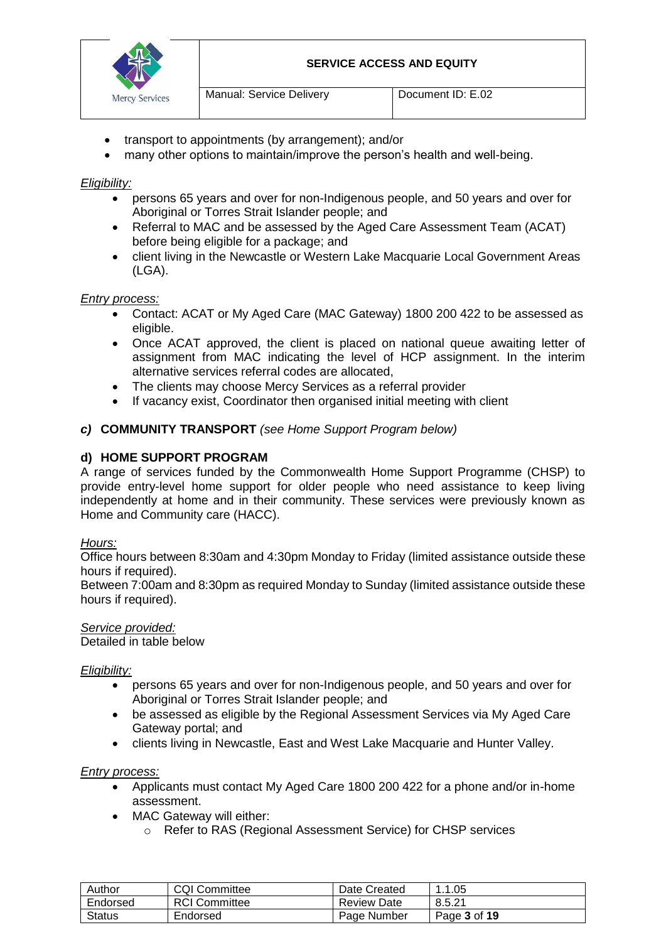

- transport to appointments (by arrangement); and/or
- many other options to maintain/improve the person's health and well-being.

### *Eligibility:*

- persons 65 years and over for non-Indigenous people, and 50 years and over for Aboriginal or Torres Strait Islander people; and
- Referral to MAC and be assessed by the Aged Care Assessment Team (ACAT) before being eligible for a package; and
- client living in the Newcastle or Western Lake Macquarie Local Government Areas (LGA).

#### *Entry process:*

- Contact: ACAT or My Aged Care (MAC Gateway) 1800 200 422 to be assessed as eligible.
- Once ACAT approved, the client is placed on national queue awaiting letter of assignment from MAC indicating the level of HCP assignment. In the interim alternative services referral codes are allocated,
- The clients may choose Mercy Services as a referral provider
- If vacancy exist, Coordinator then organised initial meeting with client

#### *c)* **COMMUNITY TRANSPORT** *(see Home Support Program below)*

#### **d) HOME SUPPORT PROGRAM**

A range of services funded by the Commonwealth Home Support Programme (CHSP) to provide entry-level home support for older people who need assistance to keep living independently at home and in their community. These services were previously known as Home and Community care (HACC).

#### *Hours:*

Office hours between 8:30am and 4:30pm Monday to Friday (limited assistance outside these hours if required).

Between 7:00am and 8:30pm as required Monday to Sunday (limited assistance outside these hours if required).

#### *Service provided:*

Detailed in table below

#### *Eligibility:*

- persons 65 years and over for non-Indigenous people, and 50 years and over for Aboriginal or Torres Strait Islander people; and
- be assessed as eligible by the Regional Assessment Services via My Aged Care Gateway portal; and
- clients living in Newcastle, East and West Lake Macquarie and Hunter Valley.

#### *Entry process:*

- Applicants must contact My Aged Care 1800 200 422 for a phone and/or in-home assessment.
- MAC Gateway will either:
	- o Refer to RAS (Regional Assessment Service) for CHSP services

| Author        | <b>CQI Committee</b> | Date Created | 1.05         |
|---------------|----------------------|--------------|--------------|
| Endorsed      | <b>RCI</b> Committee | Review Date  | 8.5.21       |
| <b>Status</b> | Endorsed             | Page Number  | Page 3 of 19 |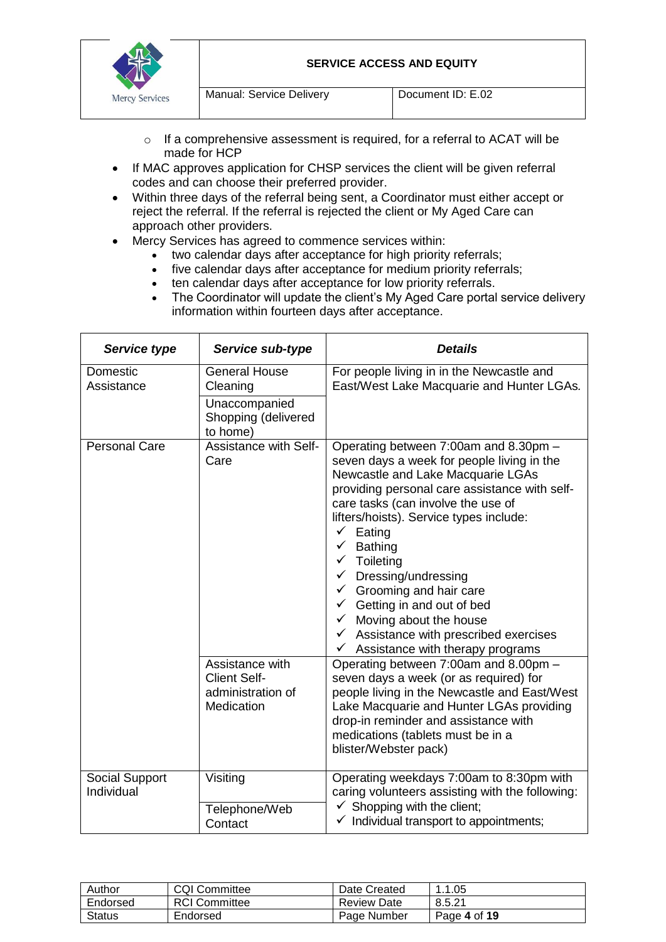

- o If a comprehensive assessment is required, for a referral to ACAT will be made for HCP
- If MAC approves application for CHSP services the client will be given referral codes and can choose their preferred provider.
- Within three days of the referral being sent, a Coordinator must either accept or reject the referral. If the referral is rejected the client or My Aged Care can approach other providers.
- Mercy Services has agreed to commence services within:
	- two calendar days after acceptance for high priority referrals;
	- five calendar days after acceptance for medium priority referrals;
	- ten calendar days after acceptance for low priority referrals.
	- The Coordinator will update the client's My Aged Care portal service delivery information within fourteen days after acceptance.

| Service type                 | Service sub-type                                                                                                         | <b>Details</b>                                                                                                                                                                                                                                                                                                                                                                                                                                                                                                                                                                                                                                                                                                                                                                                                                                                                                      |
|------------------------------|--------------------------------------------------------------------------------------------------------------------------|-----------------------------------------------------------------------------------------------------------------------------------------------------------------------------------------------------------------------------------------------------------------------------------------------------------------------------------------------------------------------------------------------------------------------------------------------------------------------------------------------------------------------------------------------------------------------------------------------------------------------------------------------------------------------------------------------------------------------------------------------------------------------------------------------------------------------------------------------------------------------------------------------------|
| Domestic<br>Assistance       | <b>General House</b><br>Cleaning<br>Unaccompanied<br>Shopping (delivered<br>to home)                                     | For people living in in the Newcastle and<br>East/West Lake Macquarie and Hunter LGAs.                                                                                                                                                                                                                                                                                                                                                                                                                                                                                                                                                                                                                                                                                                                                                                                                              |
| <b>Personal Care</b>         | <b>Assistance with Self-</b><br>Care<br>Assistance with<br><b>Client Self-</b><br>administration of<br><b>Medication</b> | Operating between 7:00am and 8.30pm -<br>seven days a week for people living in the<br>Newcastle and Lake Macquarie LGAs<br>providing personal care assistance with self-<br>care tasks (can involve the use of<br>lifters/hoists). Service types include:<br>Eating<br>$\checkmark$<br>$\checkmark$ Bathing<br>$\checkmark$ Toileting<br>$\checkmark$ Dressing/undressing<br>Grooming and hair care<br>$\checkmark$<br>$\checkmark$ Getting in and out of bed<br>$\checkmark$ Moving about the house<br>$\checkmark$ Assistance with prescribed exercises<br>Assistance with therapy programs<br>$\checkmark$<br>Operating between 7:00am and 8.00pm -<br>seven days a week (or as required) for<br>people living in the Newcastle and East/West<br>Lake Macquarie and Hunter LGAs providing<br>drop-in reminder and assistance with<br>medications (tablets must be in a<br>blister/Webster pack) |
| Social Support<br>Individual | Visiting<br>Telephone/Web<br>Contact                                                                                     | Operating weekdays 7:00am to 8:30pm with<br>caring volunteers assisting with the following:<br>$\checkmark$ Shopping with the client;<br>$\checkmark$ Individual transport to appointments;                                                                                                                                                                                                                                                                                                                                                                                                                                                                                                                                                                                                                                                                                                         |

| Author   | <b>CQI Committee</b> | Date Created       | 1.1.05       |
|----------|----------------------|--------------------|--------------|
| Endorsed | <b>RCI Committee</b> | <b>Review Date</b> | 8.5.21       |
| Status   | Endorsed             | Page Number        | Page 4 of 19 |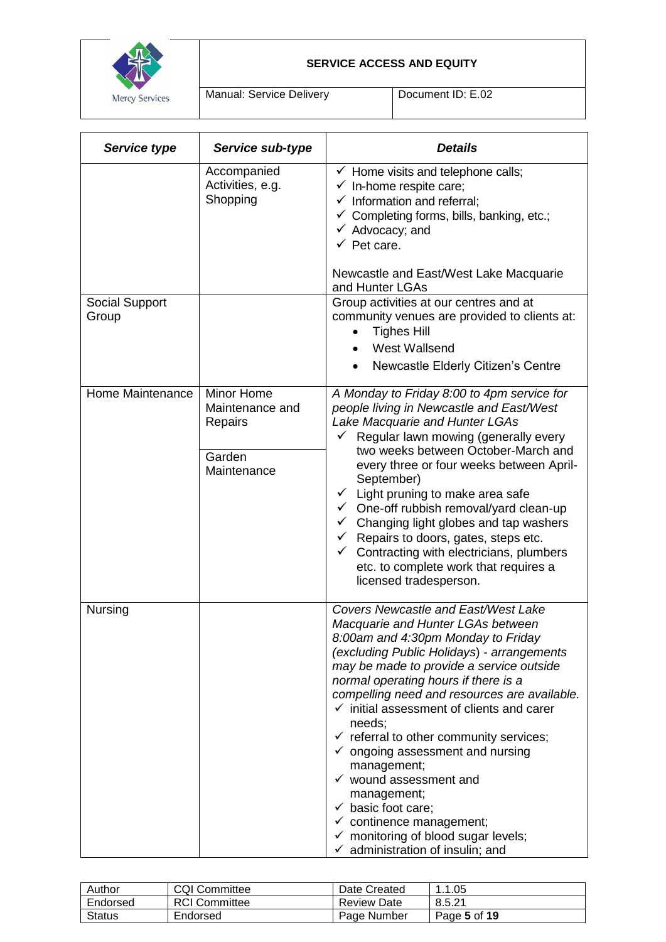

Manual: Service Delivery | Document ID: E.02

| Service type            | Service sub-type                                                  | <b>Details</b>                                                                                                                                                                                                                                                                                                                                                                                                                                                                                                                                                                                                                                                                                                      |
|-------------------------|-------------------------------------------------------------------|---------------------------------------------------------------------------------------------------------------------------------------------------------------------------------------------------------------------------------------------------------------------------------------------------------------------------------------------------------------------------------------------------------------------------------------------------------------------------------------------------------------------------------------------------------------------------------------------------------------------------------------------------------------------------------------------------------------------|
|                         | Accompanied<br>Activities, e.g.<br>Shopping                       | $\checkmark$ Home visits and telephone calls;<br>$\checkmark$ In-home respite care;<br>$\checkmark$ Information and referral;<br>$\checkmark$ Completing forms, bills, banking, etc.;<br>$\checkmark$ Advocacy; and<br>$\checkmark$ Pet care.<br>Newcastle and East/West Lake Macquarie                                                                                                                                                                                                                                                                                                                                                                                                                             |
|                         |                                                                   | and Hunter LGAs                                                                                                                                                                                                                                                                                                                                                                                                                                                                                                                                                                                                                                                                                                     |
| Social Support<br>Group |                                                                   | Group activities at our centres and at<br>community venues are provided to clients at:<br><b>Tighes Hill</b><br><b>West Wallsend</b>                                                                                                                                                                                                                                                                                                                                                                                                                                                                                                                                                                                |
|                         |                                                                   | Newcastle Elderly Citizen's Centre                                                                                                                                                                                                                                                                                                                                                                                                                                                                                                                                                                                                                                                                                  |
| Home Maintenance        | Minor Home<br>Maintenance and<br>Repairs<br>Garden<br>Maintenance | A Monday to Friday 8:00 to 4pm service for<br>people living in Newcastle and East/West<br>Lake Macquarie and Hunter LGAs<br>Regular lawn mowing (generally every<br>✓<br>two weeks between October-March and<br>every three or four weeks between April-<br>September)<br>$\checkmark$ Light pruning to make area safe<br>$\checkmark$ One-off rubbish removal/yard clean-up<br>Changing light globes and tap washers<br>✓<br>$\checkmark$ Repairs to doors, gates, steps etc.<br>$\checkmark$<br>Contracting with electricians, plumbers<br>etc. to complete work that requires a<br>licensed tradesperson.                                                                                                        |
| Nursing                 |                                                                   | Covers Newcastle and East/West Lake<br>Macquarie and Hunter LGAs between<br>8:00am and 4:30pm Monday to Friday<br>(excluding Public Holidays) - arrangements<br>may be made to provide a service outside<br>normal operating hours if there is a<br>compelling need and resources are available.<br>$\checkmark$ initial assessment of clients and carer<br>needs;<br>$\checkmark$ referral to other community services;<br>$\checkmark$ ongoing assessment and nursing<br>management;<br>$\checkmark$ wound assessment and<br>management;<br>$\checkmark$ basic foot care;<br>$\checkmark$ continence management;<br>$\checkmark$ monitoring of blood sugar levels;<br>$\checkmark$ administration of insulin; and |

| Author   | <b>CQI Committee</b> | Date Created       | .1.05        |
|----------|----------------------|--------------------|--------------|
| Endorsed | <b>RCI Committee</b> | <b>Review Date</b> | 8.5.21       |
| Status   | Endorsed             | Page Number        | Page 5 of 19 |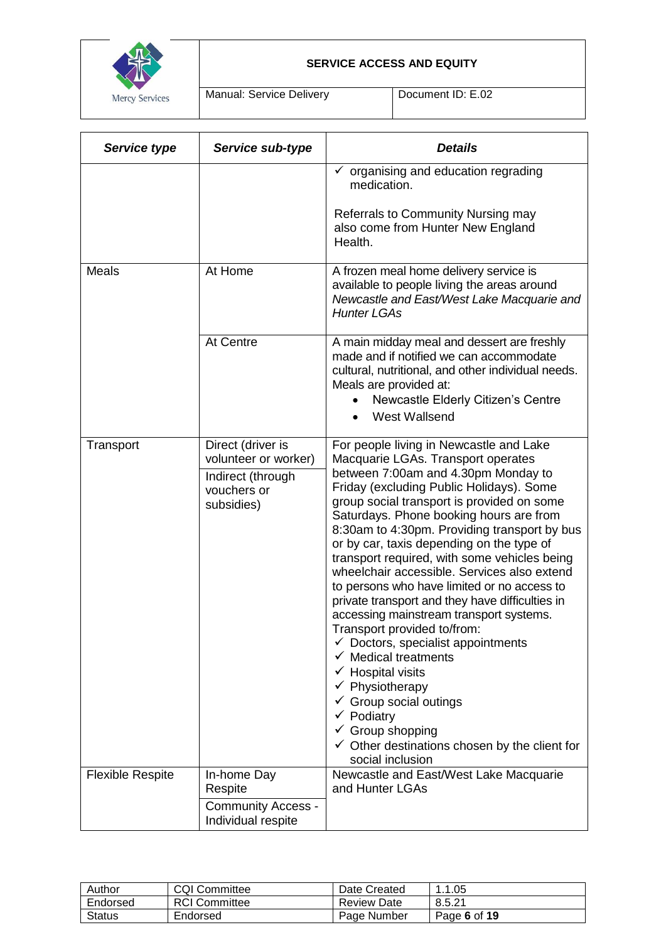

Manual: Service Delivery | Document ID: E.02

| Service type            | Service sub-type                                                                            | <b>Details</b>                                                                                                                                                                                                                                                                                                                                                                                                                                                                                                                                                                                                                                                                                                                                                                                                                                                                                                                                       |
|-------------------------|---------------------------------------------------------------------------------------------|------------------------------------------------------------------------------------------------------------------------------------------------------------------------------------------------------------------------------------------------------------------------------------------------------------------------------------------------------------------------------------------------------------------------------------------------------------------------------------------------------------------------------------------------------------------------------------------------------------------------------------------------------------------------------------------------------------------------------------------------------------------------------------------------------------------------------------------------------------------------------------------------------------------------------------------------------|
|                         |                                                                                             | organising and education regrading<br>medication.<br><b>Referrals to Community Nursing may</b><br>also come from Hunter New England<br>Health.                                                                                                                                                                                                                                                                                                                                                                                                                                                                                                                                                                                                                                                                                                                                                                                                       |
| <b>Meals</b>            | At Home                                                                                     | A frozen meal home delivery service is<br>available to people living the areas around<br>Newcastle and East/West Lake Macquarie and<br><b>Hunter LGAs</b>                                                                                                                                                                                                                                                                                                                                                                                                                                                                                                                                                                                                                                                                                                                                                                                            |
|                         | At Centre                                                                                   | A main midday meal and dessert are freshly<br>made and if notified we can accommodate<br>cultural, nutritional, and other individual needs.<br>Meals are provided at:<br>Newcastle Elderly Citizen's Centre<br>West Wallsend                                                                                                                                                                                                                                                                                                                                                                                                                                                                                                                                                                                                                                                                                                                         |
| Transport               | Direct (driver is<br>volunteer or worker)<br>Indirect (through<br>vouchers or<br>subsidies) | For people living in Newcastle and Lake<br>Macquarie LGAs. Transport operates<br>between 7:00am and 4.30pm Monday to<br>Friday (excluding Public Holidays). Some<br>group social transport is provided on some<br>Saturdays. Phone booking hours are from<br>8:30am to 4:30pm. Providing transport by bus<br>or by car, taxis depending on the type of<br>transport required, with some vehicles being<br>wheelchair accessible. Services also extend<br>to persons who have limited or no access to<br>private transport and they have difficulties in<br>accessing mainstream transport systems.<br>Transport provided to/from:<br>$\checkmark$ Doctors, specialist appointments<br><b>Medical treatments</b><br><b>Hospital visits</b><br>$\checkmark$ Physiotherapy<br>$\checkmark$ Group social outings<br>$\checkmark$ Podiatry<br>$\checkmark$ Group shopping<br>$\checkmark$ Other destinations chosen by the client for<br>social inclusion |
| <b>Flexible Respite</b> | In-home Day<br>Respite                                                                      | Newcastle and East/West Lake Macquarie<br>and Hunter LGAs                                                                                                                                                                                                                                                                                                                                                                                                                                                                                                                                                                                                                                                                                                                                                                                                                                                                                            |
|                         | <b>Community Access -</b><br>Individual respite                                             |                                                                                                                                                                                                                                                                                                                                                                                                                                                                                                                                                                                                                                                                                                                                                                                                                                                                                                                                                      |

| Author   | <b>COI Committee</b> | Date Created       | . 1.05. ،<br>$\overline{ }$ |
|----------|----------------------|--------------------|-----------------------------|
| Endorsed | <b>RCI</b> Committee | <b>Review Date</b> | 8.5.21                      |
| Status   | Endorsed             | Page Number        | Page 6 of 19                |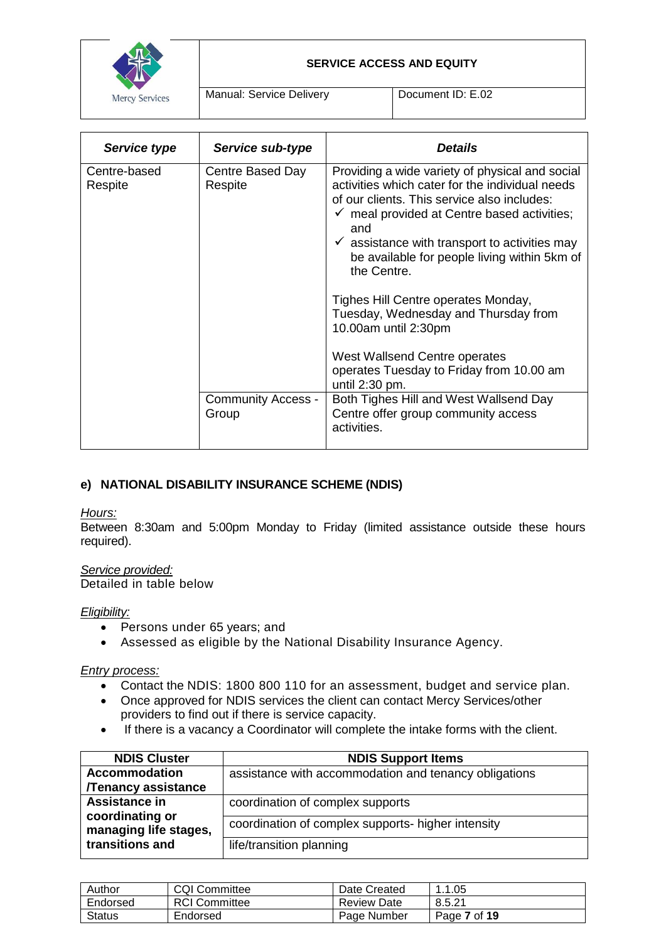

Manual: Service Delivery **Document ID: E.02** 

| Service type            | Service sub-type                   | <b>Details</b>                                                                                                                                                                                                                                                                                                                                |
|-------------------------|------------------------------------|-----------------------------------------------------------------------------------------------------------------------------------------------------------------------------------------------------------------------------------------------------------------------------------------------------------------------------------------------|
| Centre-based<br>Respite | Centre Based Day<br>Respite        | Providing a wide variety of physical and social<br>activities which cater for the individual needs<br>of our clients. This service also includes:<br>$\checkmark$ meal provided at Centre based activities;<br>and<br>$\checkmark$ assistance with transport to activities may<br>be available for people living within 5km of<br>the Centre. |
|                         |                                    | Tighes Hill Centre operates Monday,<br>Tuesday, Wednesday and Thursday from<br>10.00am until 2:30pm<br>West Wallsend Centre operates<br>operates Tuesday to Friday from 10.00 am<br>until 2:30 pm.                                                                                                                                            |
|                         | <b>Community Access -</b><br>Group | Both Tighes Hill and West Wallsend Day<br>Centre offer group community access<br>activities.                                                                                                                                                                                                                                                  |

# **e) NATIONAL DISABILITY INSURANCE SCHEME (NDIS)**

## *Hours:*

Between 8:30am and 5:00pm Monday to Friday (limited assistance outside these hours required).

## *Service provided:*

Detailed in table below

## *Eligibility:*

- Persons under 65 years; and
- Assessed as eligible by the National Disability Insurance Agency.

#### *Entry process:*

- Contact the NDIS: 1800 800 110 for an assessment, budget and service plan.
- Once approved for NDIS services the client can contact Mercy Services/other providers to find out if there is service capacity.
- If there is a vacancy a Coordinator will complete the intake forms with the client.

| <b>NDIS Cluster</b>                      | <b>NDIS Support Items</b>                             |
|------------------------------------------|-------------------------------------------------------|
| <b>Accommodation</b>                     | assistance with accommodation and tenancy obligations |
| /Tenancy assistance                      |                                                       |
| Assistance in                            | coordination of complex supports                      |
| coordinating or<br>managing life stages, | coordination of complex supports- higher intensity    |
| transitions and                          | life/transition planning                              |

| Author   | <b>CQI Committee</b> | Date Created       | . .1.05      |
|----------|----------------------|--------------------|--------------|
| Endorsed | <b>RCI</b> Committee | <b>Review Date</b> | 8.5.21       |
| Status   | Endorsed             | Page Number        | Page 7 of 19 |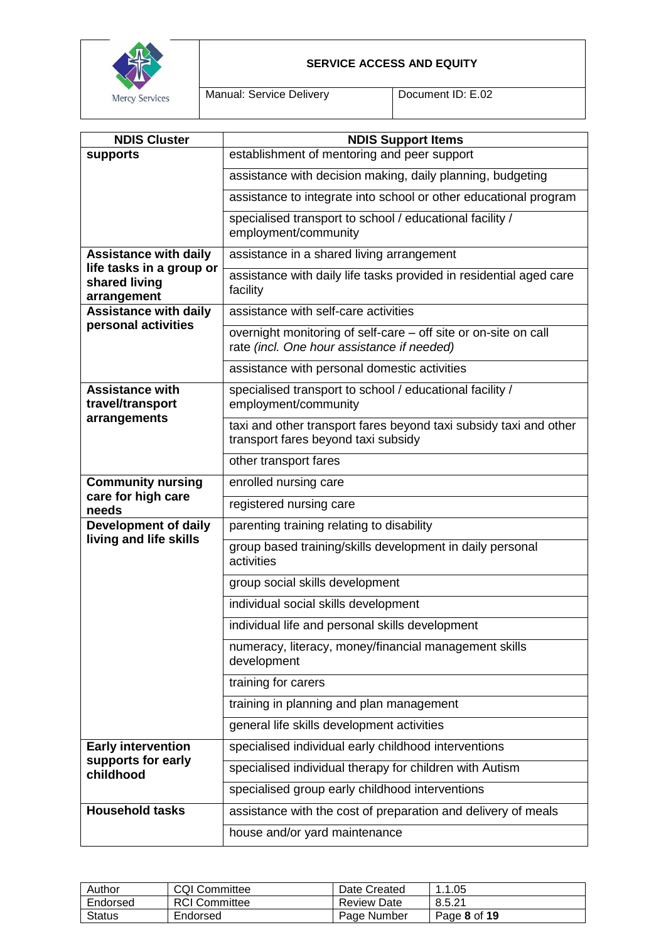

Manual: Service Delivery | Document ID: E.02

| <b>NDIS Cluster</b>                                      | <b>NDIS Support Items</b>                                                                                     |
|----------------------------------------------------------|---------------------------------------------------------------------------------------------------------------|
| supports                                                 | establishment of mentoring and peer support                                                                   |
|                                                          | assistance with decision making, daily planning, budgeting                                                    |
|                                                          | assistance to integrate into school or other educational program                                              |
|                                                          | specialised transport to school / educational facility /<br>employment/community                              |
| <b>Assistance with daily</b>                             | assistance in a shared living arrangement                                                                     |
| life tasks in a group or<br>shared living<br>arrangement | assistance with daily life tasks provided in residential aged care<br>facility                                |
| <b>Assistance with daily</b>                             | assistance with self-care activities                                                                          |
| personal activities                                      | overnight monitoring of self-care - off site or on-site on call<br>rate (incl. One hour assistance if needed) |
|                                                          | assistance with personal domestic activities                                                                  |
| <b>Assistance with</b><br>travel/transport               | specialised transport to school / educational facility /<br>employment/community                              |
| arrangements                                             | taxi and other transport fares beyond taxi subsidy taxi and other<br>transport fares beyond taxi subsidy      |
|                                                          | other transport fares                                                                                         |
| <b>Community nursing</b>                                 | enrolled nursing care                                                                                         |
| care for high care<br>needs                              | registered nursing care                                                                                       |
| <b>Development of daily</b>                              | parenting training relating to disability                                                                     |
| living and life skills                                   | group based training/skills development in daily personal<br>activities                                       |
|                                                          | group social skills development                                                                               |
|                                                          | individual social skills development                                                                          |
|                                                          | individual life and personal skills development                                                               |
|                                                          | numeracy, literacy, money/financial management skills<br>development                                          |
|                                                          | training for carers                                                                                           |
|                                                          | training in planning and plan management                                                                      |
|                                                          | general life skills development activities                                                                    |
| <b>Early intervention</b>                                | specialised individual early childhood interventions                                                          |
| supports for early<br>childhood                          | specialised individual therapy for children with Autism                                                       |
|                                                          | specialised group early childhood interventions                                                               |
| <b>Household tasks</b>                                   | assistance with the cost of preparation and delivery of meals                                                 |
|                                                          | house and/or yard maintenance                                                                                 |

| Author        | <b>CQI Committee</b> | Date Created       | 0.1.05<br>$\overline{\phantom{a}}$ |
|---------------|----------------------|--------------------|------------------------------------|
| Endorsed      | <b>RCI</b> Committee | <b>Review Date</b> | 8.5.21                             |
| <b>Status</b> | Endorsed             | Page Number        | Page 8 of 19                       |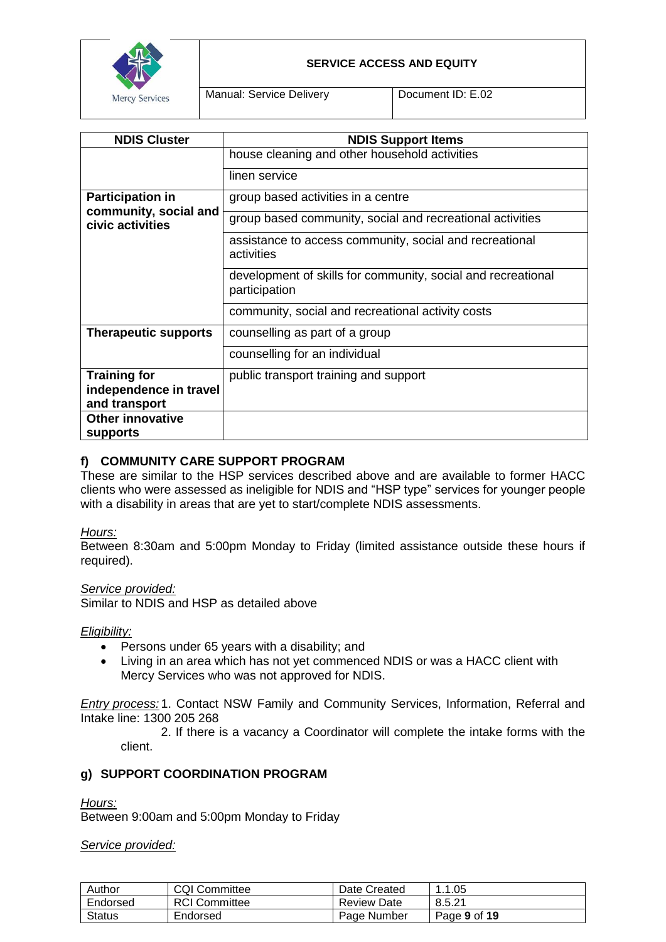

Manual: Service Delivery Document ID: E.02

| <b>NDIS Cluster</b>                       | <b>NDIS Support Items</b>                                                     |
|-------------------------------------------|-------------------------------------------------------------------------------|
|                                           | house cleaning and other household activities                                 |
|                                           | linen service                                                                 |
| <b>Participation in</b>                   | group based activities in a centre                                            |
| community, social and<br>civic activities | group based community, social and recreational activities                     |
|                                           | assistance to access community, social and recreational<br>activities         |
|                                           | development of skills for community, social and recreational<br>participation |
|                                           | community, social and recreational activity costs                             |
| <b>Therapeutic supports</b>               | counselling as part of a group                                                |
|                                           | counselling for an individual                                                 |
| <b>Training for</b>                       | public transport training and support                                         |
| independence in travel                    |                                                                               |
|                                           |                                                                               |
| and transport                             |                                                                               |
| <b>Other innovative</b>                   |                                                                               |
| supports                                  |                                                                               |

# **f) COMMUNITY CARE SUPPORT PROGRAM**

These are similar to the HSP services described above and are available to former HACC clients who were assessed as ineligible for NDIS and "HSP type" services for younger people with a disability in areas that are yet to start/complete NDIS assessments.

## *Hours:*

Between 8:30am and 5:00pm Monday to Friday (limited assistance outside these hours if required).

## *Service provided:*

Similar to NDIS and HSP as detailed above

#### *Eligibility:*

- Persons under 65 years with a disability; and
- Living in an area which has not yet commenced NDIS or was a HACC client with Mercy Services who was not approved for NDIS.

*Entry process:* 1. Contact NSW Family and Community Services, Information, Referral and Intake line: 1300 205 268

2. If there is a vacancy a Coordinator will complete the intake forms with the client.

## **g) SUPPORT COORDINATION PROGRAM**

#### *Hours:*

Between 9:00am and 5:00pm Monday to Friday

#### *Service provided:*

| Author        | <b>CQI Committee</b> | Date Created       | 1.1.05       |
|---------------|----------------------|--------------------|--------------|
| Endorsed      | <b>RCI Committee</b> | <b>Review Date</b> | 8.5.21       |
| <b>Status</b> | Endorsed             | Page Number        | Page 9 of 19 |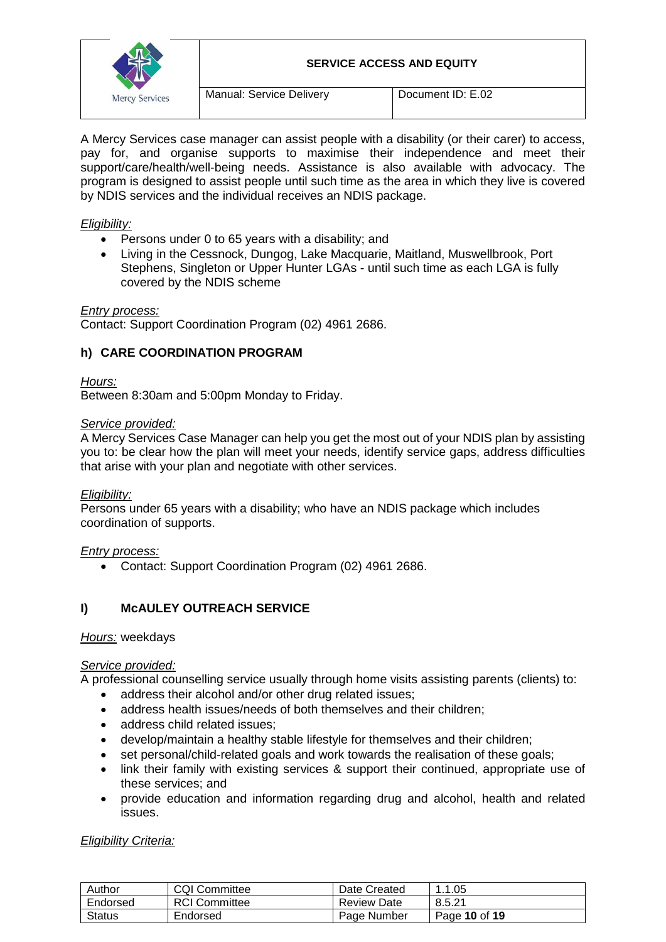

Manual: Service Delivery Document ID: E.02

A Mercy Services case manager can assist people with a disability (or their carer) to access, pay for, and organise supports to maximise their independence and meet their support/care/health/well-being needs. Assistance is also available with advocacy. The program is designed to assist people until such time as the area in which they live is covered by NDIS services and the individual receives an NDIS package.

## *Eligibility:*

- Persons under 0 to 65 years with a disability; and
- Living in the Cessnock, Dungog, Lake Macquarie, Maitland, Muswellbrook, Port Stephens, Singleton or Upper Hunter LGAs - until such time as each LGA is fully covered by the NDIS scheme

*Entry process:*

Contact: Support Coordination Program (02) 4961 2686.

## **h) CARE COORDINATION PROGRAM**

*Hours:*

Between 8:30am and 5:00pm Monday to Friday.

#### *Service provided:*

A Mercy Services Case Manager can help you get the most out of your NDIS plan by assisting you to: be clear how the plan will meet your needs, identify service gaps, address difficulties that arise with your plan and negotiate with other services.

## *Eligibility:*

Persons under 65 years with a disability; who have an NDIS package which includes coordination of supports.

## *Entry process:*

Contact: Support Coordination Program (02) 4961 2686.

# **I) McAULEY OUTREACH SERVICE**

#### *Hours:* weekdays

## *Service provided:*

A professional counselling service usually through home visits assisting parents (clients) to:

- address their alcohol and/or other drug related issues:
- address health issues/needs of both themselves and their children:
- address child related issues:
- develop/maintain a healthy stable lifestyle for themselves and their children;
- set personal/child-related goals and work towards the realisation of these goals;
- link their family with existing services & support their continued, appropriate use of these services; and
- provide education and information regarding drug and alcohol, health and related issues.

*Eligibility Criteria:*

| Author   | <b>CQI Committee</b> | Date Created | . 1.05        |
|----------|----------------------|--------------|---------------|
| Endorsed | <b>RCI Committee</b> | Review Date  | 8.5.21        |
| Status   | Endorsed             | Page Number  | Page 10 of 19 |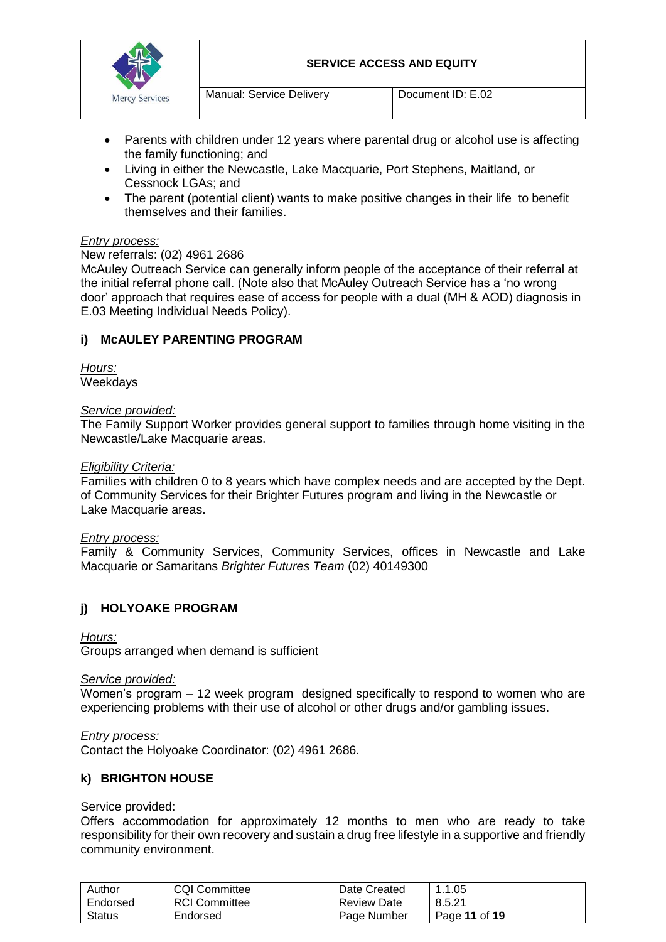

- Parents with children under 12 years where parental drug or alcohol use is affecting the family functioning; and
- Living in either the Newcastle, Lake Macquarie, Port Stephens, Maitland, or Cessnock LGAs; and
- The parent (potential client) wants to make positive changes in their life to benefit themselves and their families.

### *Entry process:*

#### New referrals: (02) 4961 2686

McAuley Outreach Service can generally inform people of the acceptance of their referral at the initial referral phone call. (Note also that McAuley Outreach Service has a 'no wrong door' approach that requires ease of access for people with a dual (MH & AOD) diagnosis in E.03 Meeting Individual Needs Policy).

## **i) McAULEY PARENTING PROGRAM**

*Hours:* **Weekdays** 

#### *Service provided:*

The Family Support Worker provides general support to families through home visiting in the Newcastle/Lake Macquarie areas.

#### *Eligibility Criteria:*

Families with children 0 to 8 years which have complex needs and are accepted by the Dept. of Community Services for their Brighter Futures program and living in the Newcastle or Lake Macquarie areas.

#### *Entry process:*

Family & Community Services, Community Services, offices in Newcastle and Lake Macquarie or Samaritans *Brighter Futures Team* (02) 40149300

## **j) HOLYOAKE PROGRAM**

#### *Hours:*

Groups arranged when demand is sufficient

#### *Service provided:*

Women's program – 12 week program designed specifically to respond to women who are experiencing problems with their use of alcohol or other drugs and/or gambling issues.

#### *Entry process:*

Contact the Holyoake Coordinator: (02) 4961 2686.

#### **k) BRIGHTON HOUSE**

#### Service provided:

Offers accommodation for approximately 12 months to men who are ready to take responsibility for their own recovery and sustain a drug free lifestyle in a supportive and friendly community environment.

| Author        | <b>CQI Committee</b> | Date Created | .1.05         |
|---------------|----------------------|--------------|---------------|
| Endorsed      | <b>RCI Committee</b> | Review Date  | 8.5.21        |
| <b>Status</b> | Endorsed             | Page Number  | Page 11 of 19 |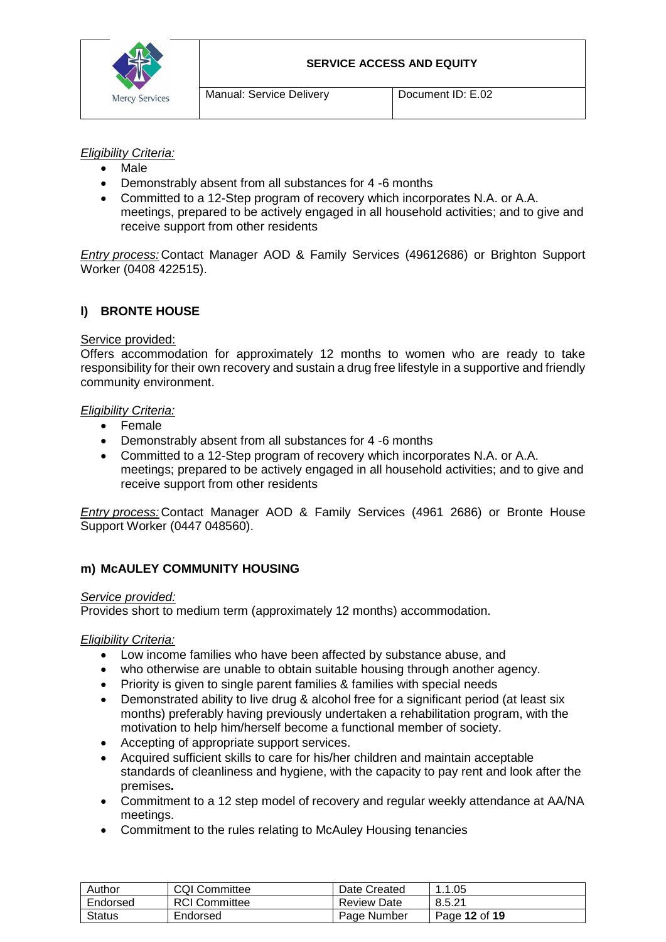

## *Eligibility Criteria:*

- Male
- Demonstrably absent from all substances for 4 -6 months
- Committed to a 12-Step program of recovery which incorporates N.A. or A.A. meetings, prepared to be actively engaged in all household activities; and to give and receive support from other residents

*Entry process:* Contact Manager AOD & Family Services (49612686) or Brighton Support Worker (0408 422515).

# **l) BRONTE HOUSE**

### Service provided:

Offers accommodation for approximately 12 months to women who are ready to take responsibility for their own recovery and sustain a drug free lifestyle in a supportive and friendly community environment.

#### *Eligibility Criteria:*

- Female
- Demonstrably absent from all substances for 4 -6 months
- Committed to a 12-Step program of recovery which incorporates N.A. or A.A. meetings; prepared to be actively engaged in all household activities; and to give and receive support from other residents

*Entry process:* Contact Manager AOD & Family Services (4961 2686) or Bronte House Support Worker (0447 048560).

## **m) McAULEY COMMUNITY HOUSING**

#### *Service provided:*

Provides short to medium term (approximately 12 months) accommodation.

#### *Eligibility Criteria:*

- Low income families who have been affected by substance abuse, and
- who otherwise are unable to obtain suitable housing through another agency.
- Priority is given to single parent families & families with special needs
- Demonstrated ability to live drug & alcohol free for a significant period (at least six months) preferably having previously undertaken a rehabilitation program, with the motivation to help him/herself become a functional member of society.
- Accepting of appropriate support services.
- Acquired sufficient skills to care for his/her children and maintain acceptable standards of cleanliness and hygiene, with the capacity to pay rent and look after the premises**.**
- Commitment to a 12 step model of recovery and regular weekly attendance at AA/NA meetings.
- Commitment to the rules relating to McAuley Housing tenancies

| Author        | <b>CQI Committee</b> | Date Created | . . 1 . 05    |
|---------------|----------------------|--------------|---------------|
| Endorsed      | <b>RCI Committee</b> | Review Date  | 8.5.21        |
| <b>Status</b> | Endorsed             | Page Number  | Page 12 of 19 |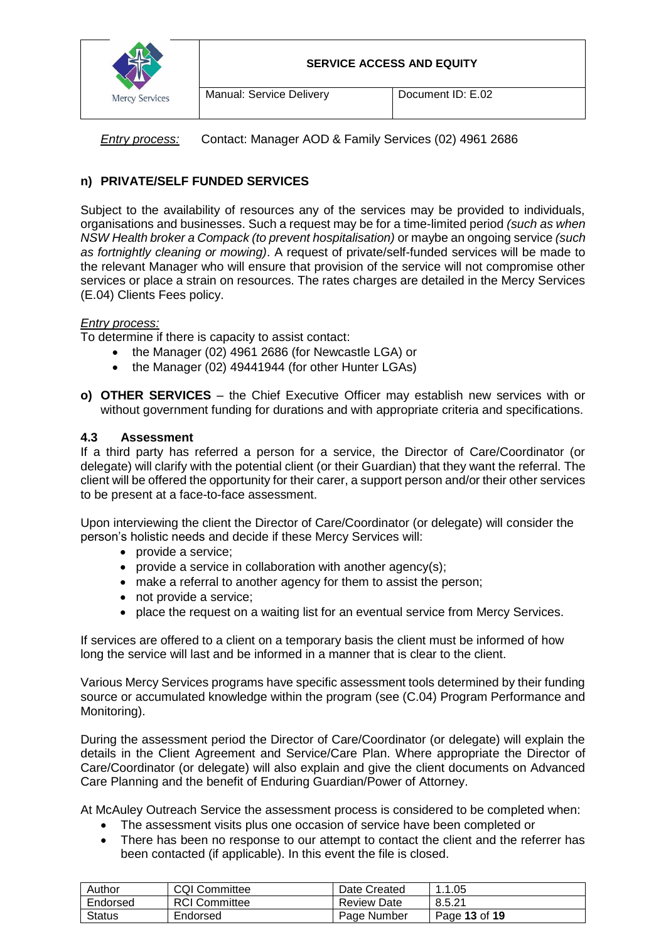

*Entry process:* Contact: Manager AOD & Family Services (02) 4961 2686

# **n) PRIVATE/SELF FUNDED SERVICES**

Subject to the availability of resources any of the services may be provided to individuals, organisations and businesses. Such a request may be for a time-limited period *(such as when NSW Health broker a Compack (to prevent hospitalisation)* or maybe an ongoing service *(such as fortnightly cleaning or mowing)*. A request of private/self-funded services will be made to the relevant Manager who will ensure that provision of the service will not compromise other services or place a strain on resources. The rates charges are detailed in the Mercy Services (E.04) Clients Fees policy.

## *Entry process:*

To determine if there is capacity to assist contact:

- the Manager (02) 4961 2686 (for Newcastle LGA) or
- the Manager (02) 49441944 (for other Hunter LGAs)
- **o) OTHER SERVICES**  the Chief Executive Officer may establish new services with or without government funding for durations and with appropriate criteria and specifications.

## **4.3 Assessment**

If a third party has referred a person for a service, the Director of Care/Coordinator (or delegate) will clarify with the potential client (or their Guardian) that they want the referral. The client will be offered the opportunity for their carer, a support person and/or their other services to be present at a face-to-face assessment.

Upon interviewing the client the Director of Care/Coordinator (or delegate) will consider the person's holistic needs and decide if these Mercy Services will:

- provide a service;
- provide a service in collaboration with another agency(s);
- make a referral to another agency for them to assist the person;
- not provide a service;
- place the request on a waiting list for an eventual service from Mercy Services.

If services are offered to a client on a temporary basis the client must be informed of how long the service will last and be informed in a manner that is clear to the client.

Various Mercy Services programs have specific assessment tools determined by their funding source or accumulated knowledge within the program (see (C.04) Program Performance and Monitoring).

During the assessment period the Director of Care/Coordinator (or delegate) will explain the details in the Client Agreement and Service/Care Plan. Where appropriate the Director of Care/Coordinator (or delegate) will also explain and give the client documents on Advanced Care Planning and the benefit of Enduring Guardian/Power of Attorney.

At McAuley Outreach Service the assessment process is considered to be completed when:

- The assessment visits plus one occasion of service have been completed or
- There has been no response to our attempt to contact the client and the referrer has been contacted (if applicable). In this event the file is closed.

| Author        | <b>CQI Committee</b> | Date Created       | 1.1.05        |
|---------------|----------------------|--------------------|---------------|
| Endorsed      | <b>RCI</b> Committee | <b>Review Date</b> | 8.5.21        |
| <b>Status</b> | Endorsed             | Page Number        | Page 13 of 19 |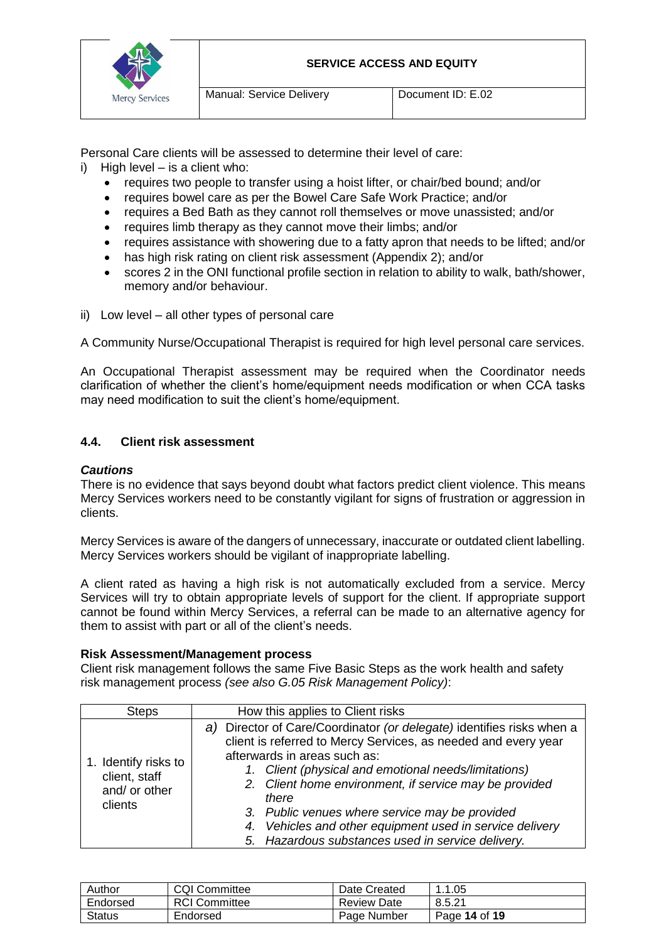

Personal Care clients will be assessed to determine their level of care:

- i) High level is a client who:
	- requires two people to transfer using a hoist lifter, or chair/bed bound; and/or
	- requires bowel care as per the Bowel Care Safe Work Practice; and/or
	- requires a Bed Bath as they cannot roll themselves or move unassisted; and/or
	- requires limb therapy as they cannot move their limbs; and/or
	- requires assistance with showering due to a fatty apron that needs to be lifted; and/or
	- has high risk rating on client risk assessment (Appendix 2); and/or
	- scores 2 in the ONI functional profile section in relation to ability to walk, bath/shower, memory and/or behaviour.
- ii) Low level all other types of personal care

A Community Nurse/Occupational Therapist is required for high level personal care services.

An Occupational Therapist assessment may be required when the Coordinator needs clarification of whether the client's home/equipment needs modification or when CCA tasks may need modification to suit the client's home/equipment.

## **4.4. Client risk assessment**

#### *Cautions*

There is no evidence that says beyond doubt what factors predict client violence. This means Mercy Services workers need to be constantly vigilant for signs of frustration or aggression in clients.

Mercy Services is aware of the dangers of unnecessary, inaccurate or outdated client labelling. Mercy Services workers should be vigilant of inappropriate labelling.

A client rated as having a high risk is not automatically excluded from a service. Mercy Services will try to obtain appropriate levels of support for the client. If appropriate support cannot be found within Mercy Services, a referral can be made to an alternative agency for them to assist with part or all of the client's needs.

#### **Risk Assessment/Management process**

Client risk management follows the same Five Basic Steps as the work health and safety risk management process *(see also G.05 Risk Management Policy)*:

| <b>Steps</b>                                                      | How this applies to Client risks                                                                                                                                                                                                                                                                                                                                                                                                                                      |  |
|-------------------------------------------------------------------|-----------------------------------------------------------------------------------------------------------------------------------------------------------------------------------------------------------------------------------------------------------------------------------------------------------------------------------------------------------------------------------------------------------------------------------------------------------------------|--|
| 1. Identify risks to<br>client, staff<br>and/ or other<br>clients | a) Director of Care/Coordinator (or delegate) identifies risks when a<br>client is referred to Mercy Services, as needed and every year<br>afterwards in areas such as:<br>1. Client (physical and emotional needs/limitations)<br>2. Client home environment, if service may be provided<br>there<br>3. Public venues where service may be provided<br>4. Vehicles and other equipment used in service delivery<br>5. Hazardous substances used in service delivery. |  |

| Author        | <b>CQI Committee</b> | Date Created | .1.05         |
|---------------|----------------------|--------------|---------------|
| Endorsed      | <b>RCI Committee</b> | Review Date  | 8.5.21        |
| <b>Status</b> | Endorsed             | Page Number  | Page 14 of 19 |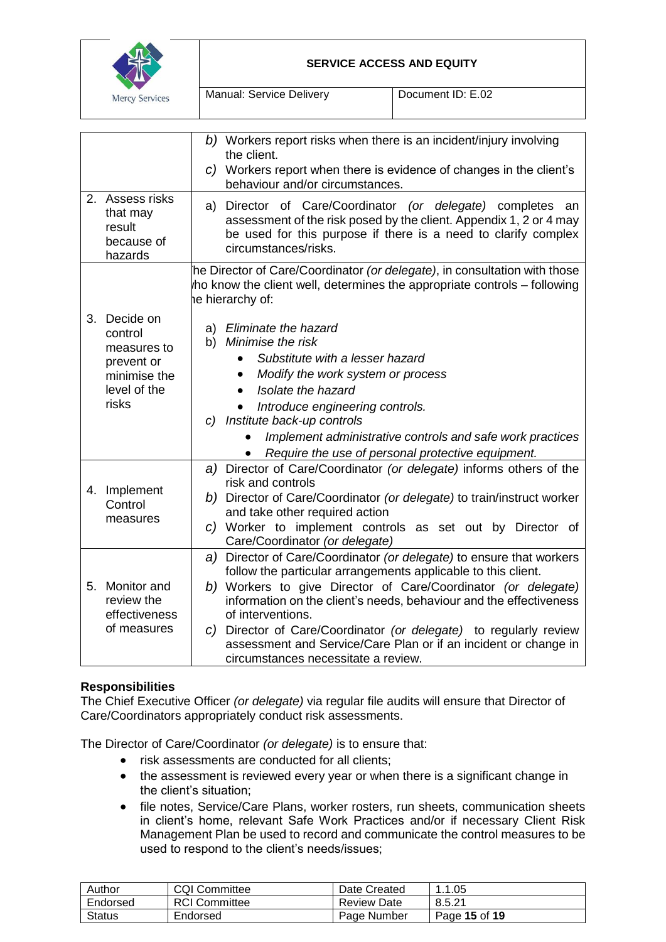

|                                                                                               | b) Workers report risks when there is an incident/injury involving<br>the client.<br>c) Workers report when there is evidence of changes in the client's<br>behaviour and/or circumstances.                                                                                                                                                                                                                                                                                      |
|-----------------------------------------------------------------------------------------------|----------------------------------------------------------------------------------------------------------------------------------------------------------------------------------------------------------------------------------------------------------------------------------------------------------------------------------------------------------------------------------------------------------------------------------------------------------------------------------|
| 2. Assess risks<br>that may<br>result<br>because of<br>hazards                                | a) Director of Care/Coordinator (or delegate) completes an<br>assessment of the risk posed by the client. Appendix 1, 2 or 4 may<br>be used for this purpose if there is a need to clarify complex<br>circumstances/risks.                                                                                                                                                                                                                                                       |
|                                                                                               | he Director of Care/Coordinator (or delegate), in consultation with those<br>ho know the client well, determines the appropriate controls - following<br>he hierarchy of:                                                                                                                                                                                                                                                                                                        |
| 3. Decide on<br>control<br>measures to<br>prevent or<br>minimise the<br>level of the<br>risks | a) Eliminate the hazard<br>b) Minimise the risk<br>Substitute with a lesser hazard<br>Modify the work system or process<br>$\bullet$<br>Isolate the hazard<br>Introduce engineering controls.<br>c) Institute back-up controls<br>Implement administrative controls and safe work practices<br>Require the use of personal protective equipment.                                                                                                                                 |
| 4. Implement<br>Control<br>measures                                                           | a) Director of Care/Coordinator (or delegate) informs others of the<br>risk and controls<br>b) Director of Care/Coordinator (or delegate) to train/instruct worker<br>and take other required action<br>c) Worker to implement controls as set out by Director of<br>Care/Coordinator (or delegate)                                                                                                                                                                              |
| 5. Monitor and<br>review the<br>effectiveness<br>of measures                                  | a) Director of Care/Coordinator (or delegate) to ensure that workers<br>follow the particular arrangements applicable to this client.<br>b) Workers to give Director of Care/Coordinator (or delegate)<br>information on the client's needs, behaviour and the effectiveness<br>of interventions.<br>c) Director of Care/Coordinator (or delegate) to regularly review<br>assessment and Service/Care Plan or if an incident or change in<br>circumstances necessitate a review. |

## **Responsibilities**

The Chief Executive Officer *(or delegate)* via regular file audits will ensure that Director of Care/Coordinators appropriately conduct risk assessments.

The Director of Care/Coordinator *(or delegate)* is to ensure that:

- risk assessments are conducted for all clients;
- the assessment is reviewed every year or when there is a significant change in the client's situation;
- file notes, Service/Care Plans, worker rosters, run sheets, communication sheets in client's home, relevant Safe Work Practices and/or if necessary Client Risk Management Plan be used to record and communicate the control measures to be used to respond to the client's needs/issues;

| Author        | <b>CQI Committee</b> | Date Created       | .1.05         |
|---------------|----------------------|--------------------|---------------|
| Endorsed      | <b>RCI</b> Committee | <b>Review Date</b> | 8.5.21        |
| <b>Status</b> | Endorsed             | Page Number        | Page 15 of 19 |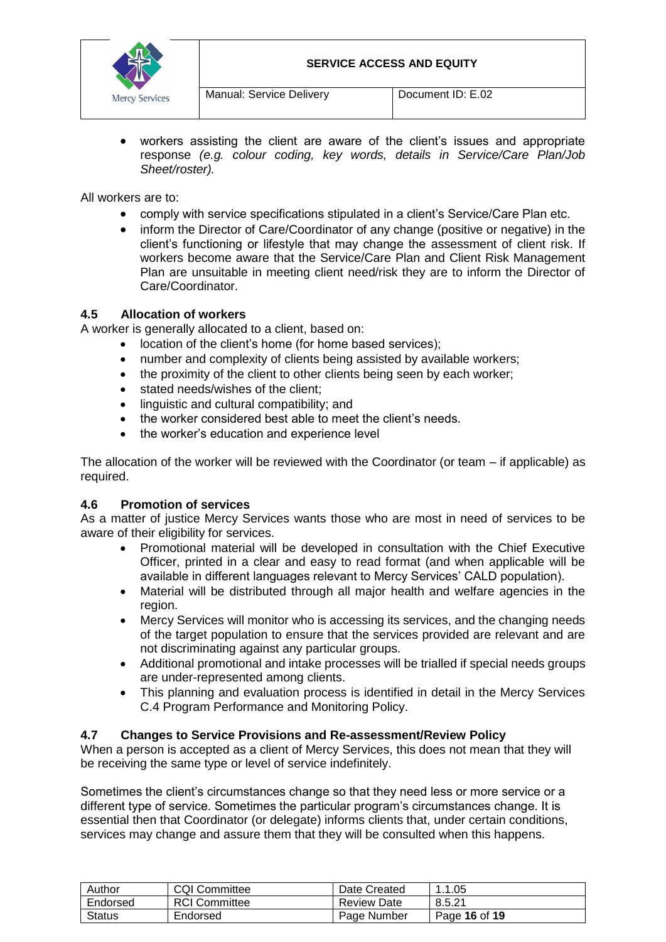

 workers assisting the client are aware of the client's issues and appropriate response *(e.g. colour coding, key words, details in Service/Care Plan/Job Sheet/roster).*

All workers are to:

- comply with service specifications stipulated in a client's Service/Care Plan etc.
- inform the Director of Care/Coordinator of any change (positive or negative) in the client's functioning or lifestyle that may change the assessment of client risk. If workers become aware that the Service/Care Plan and Client Risk Management Plan are unsuitable in meeting client need/risk they are to inform the Director of Care/Coordinator.

### **4.5 Allocation of workers**

A worker is generally allocated to a client, based on:

- location of the client's home (for home based services);
- number and complexity of clients being assisted by available workers;
- the proximity of the client to other clients being seen by each worker;
- stated needs/wishes of the client:
- linguistic and cultural compatibility; and
- the worker considered best able to meet the client's needs.
- the worker's education and experience level

The allocation of the worker will be reviewed with the Coordinator (or team – if applicable) as required.

#### **4.6 Promotion of services**

As a matter of justice Mercy Services wants those who are most in need of services to be aware of their eligibility for services.

- Promotional material will be developed in consultation with the Chief Executive Officer, printed in a clear and easy to read format (and when applicable will be available in different languages relevant to Mercy Services' CALD population).
- Material will be distributed through all major health and welfare agencies in the region.
- Mercy Services will monitor who is accessing its services, and the changing needs of the target population to ensure that the services provided are relevant and are not discriminating against any particular groups.
- Additional promotional and intake processes will be trialled if special needs groups are under-represented among clients.
- This planning and evaluation process is identified in detail in the Mercy Services C.4 Program Performance and Monitoring Policy.

#### **4.7 Changes to Service Provisions and Re-assessment/Review Policy**

When a person is accepted as a client of Mercy Services, this does not mean that they will be receiving the same type or level of service indefinitely.

Sometimes the client's circumstances change so that they need less or more service or a different type of service. Sometimes the particular program's circumstances change. It is essential then that Coordinator (or delegate) informs clients that, under certain conditions, services may change and assure them that they will be consulted when this happens.

| Author        | <b>CQI Committee</b> | Date Created       | 1.1.05        |
|---------------|----------------------|--------------------|---------------|
| Endorsed      | <b>RCI</b> Committee | <b>Review Date</b> | 8.5.21        |
| <b>Status</b> | Endorsed             | Page Number        | Page 16 of 19 |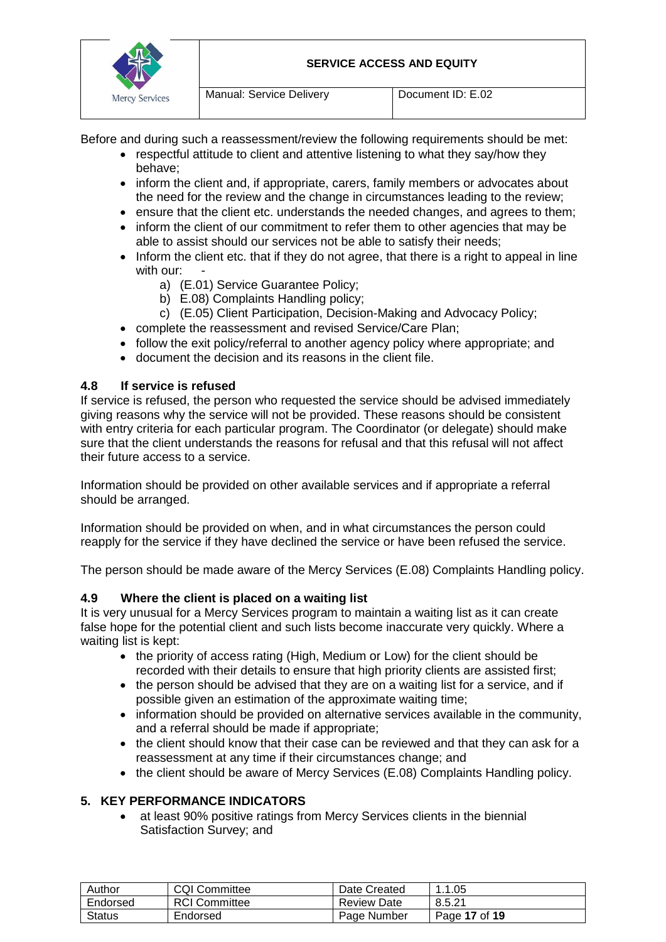

Manual: Service Delivery Document ID: E.02

Before and during such a reassessment/review the following requirements should be met:

- respectful attitude to client and attentive listening to what they say/how they behave;
- inform the client and, if appropriate, carers, family members or advocates about the need for the review and the change in circumstances leading to the review;
- ensure that the client etc. understands the needed changes, and agrees to them;
- inform the client of our commitment to refer them to other agencies that may be able to assist should our services not be able to satisfy their needs;
- Inform the client etc. that if they do not agree, that there is a right to appeal in line with our:
	- a) (E.01) Service Guarantee Policy;
	- b) E.08) Complaints Handling policy;
	- c) (E.05) Client Participation, Decision-Making and Advocacy Policy;
- complete the reassessment and revised Service/Care Plan;
- follow the exit policy/referral to another agency policy where appropriate; and
- document the decision and its reasons in the client file.

# **4.8 If service is refused**

If service is refused, the person who requested the service should be advised immediately giving reasons why the service will not be provided. These reasons should be consistent with entry criteria for each particular program. The Coordinator (or delegate) should make sure that the client understands the reasons for refusal and that this refusal will not affect their future access to a service.

Information should be provided on other available services and if appropriate a referral should be arranged.

Information should be provided on when, and in what circumstances the person could reapply for the service if they have declined the service or have been refused the service.

The person should be made aware of the Mercy Services (E.08) Complaints Handling policy.

# **4.9 Where the client is placed on a waiting list**

It is very unusual for a Mercy Services program to maintain a waiting list as it can create false hope for the potential client and such lists become inaccurate very quickly. Where a waiting list is kept:

- the priority of access rating (High, Medium or Low) for the client should be recorded with their details to ensure that high priority clients are assisted first;
- the person should be advised that they are on a waiting list for a service, and if possible given an estimation of the approximate waiting time;
- information should be provided on alternative services available in the community, and a referral should be made if appropriate;
- the client should know that their case can be reviewed and that they can ask for a reassessment at any time if their circumstances change; and
- the client should be aware of Mercy Services (E.08) Complaints Handling policy.

# **5. KEY PERFORMANCE INDICATORS**

 at least 90% positive ratings from Mercy Services clients in the biennial Satisfaction Survey; and

| Author   | <b>CQI Committee</b> | Date Created       | . 1.05        |
|----------|----------------------|--------------------|---------------|
| Endorsed | <b>RCI</b> Committee | <b>Review Date</b> | 8.5.21        |
| Status   | Endorsed             | Page Number        | Page 17 of 19 |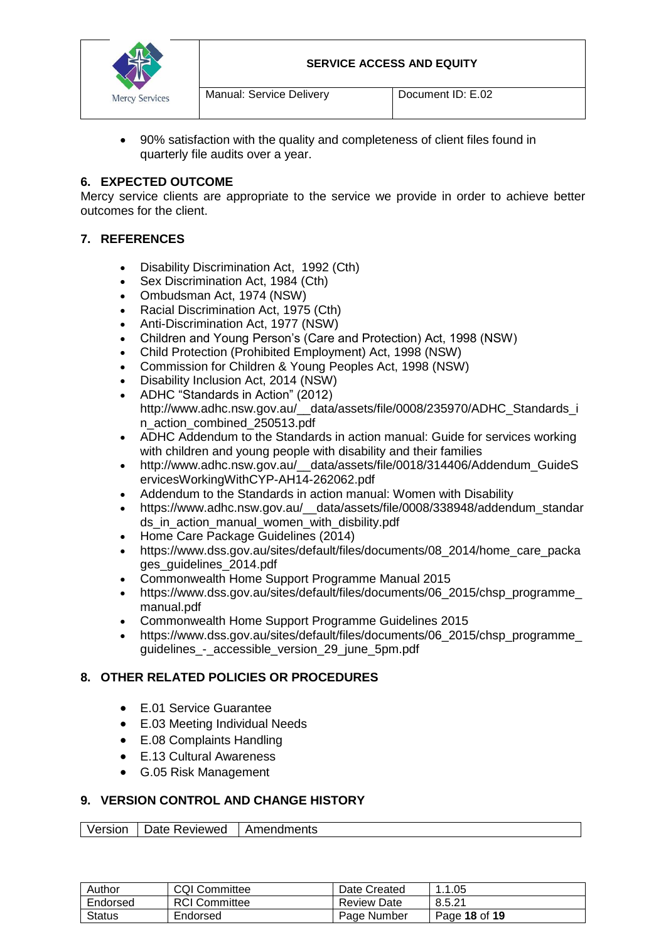

 90% satisfaction with the quality and completeness of client files found in quarterly file audits over a year.

## **6. EXPECTED OUTCOME**

Mercy service clients are appropriate to the service we provide in order to achieve better outcomes for the client.

## **7. REFERENCES**

- Disability Discrimination Act, 1992 (Cth)
- Sex Discrimination Act, 1984 (Cth)
- Ombudsman Act, 1974 (NSW)
- Racial Discrimination Act, 1975 (Cth)
- Anti-Discrimination Act, 1977 (NSW)
- Children and Young Person's (Care and Protection) Act, 1998 (NSW)
- Child Protection (Prohibited Employment) Act, 1998 (NSW)
- Commission for Children & Young Peoples Act, 1998 (NSW)
- Disability Inclusion Act, 2014 (NSW)
- ADHC "Standards in Action" (2012) http://www.adhc.nsw.gov.au/\_\_data/assets/file/0008/235970/ADHC\_Standards\_i n\_action\_combined\_250513.pdf
- ADHC Addendum to the Standards in action manual: Guide for services working with children and young people with disability and their families
- http://www.adhc.nsw.gov.au/\_\_data/assets/file/0018/314406/Addendum\_GuideS ervicesWorkingWithCYP-AH14-262062.pdf
- Addendum to the Standards in action manual: Women with Disability
- https://www.adhc.nsw.gov.au/ data/assets/file/0008/338948/addendum\_standar ds\_in\_action\_manual\_women\_with\_disbility.pdf
- Home Care Package Guidelines (2014)
- https://www.dss.gov.au/sites/default/files/documents/08\_2014/home\_care\_packa ges\_quidelines\_2014.pdf
- Commonwealth Home Support Programme Manual 2015
- https://www.dss.gov.au/sites/default/files/documents/06\_2015/chsp\_programme\_ manual.pdf
- Commonwealth Home Support Programme Guidelines 2015
- https://www.dss.gov.au/sites/default/files/documents/06\_2015/chsp\_programme\_ guidelines\_-\_accessible\_version\_29\_june\_5pm.pdf

# **8. OTHER RELATED POLICIES OR PROCEDURES**

- E.01 Service Guarantee
- E.03 Meeting Individual Needs
- E.08 Complaints Handling
- E.13 Cultural Awareness
- G.05 Risk Management

# **9. VERSION CONTROL AND CHANGE HISTORY**

#### | Version | Date Reviewed | Amendments

| Author        | <b>CQI Committee</b> | Date Created       | . 1.05        |
|---------------|----------------------|--------------------|---------------|
| Endorsed      | <b>RCI</b> Committee | <b>Review Date</b> | 8.5.21        |
| <b>Status</b> | Endorsed             | Page Number        | Page 18 of 19 |